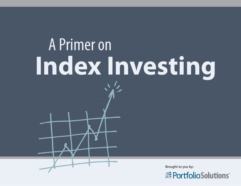# A Primer on **Index Investing**

Brought to you by:

**Example 12 PortfolioSolutions**®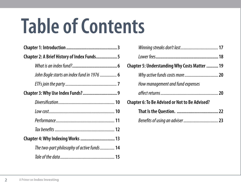## **Table of Contents**

| Chapter 2: A Brief History of Index Funds5 |
|--------------------------------------------|
|                                            |
| John Bogle starts an index fund in 1976  6 |
|                                            |
|                                            |
|                                            |
|                                            |
|                                            |
|                                            |
| Chapter 4: Why Indexing Works  13          |
| The two-part philosophy of active funds 14 |
|                                            |

| Chapter 5: Understanding Why Costs Matter  19         |  |
|-------------------------------------------------------|--|
| Why active funds costs more 20                        |  |
| How management and fund expenses                      |  |
|                                                       |  |
| <b>Chapter 6: To Be Advised or Not to Be Advised?</b> |  |
|                                                       |  |
|                                                       |  |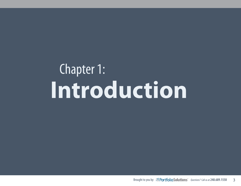## Chapter 1: **Introduction**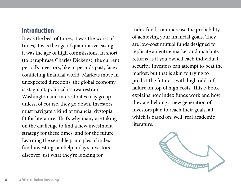## **Introduction**

It was the best of times, it was the worst of times, it was the age of quantitative easing, it was the age of high commissions. In short (to paraphrase Charles Dickens), the current period's investors, like in periods past, face a conflicting financial world. Markets move in unexpected directions, the global economy is stagnant, political issuwa restrain Washington and interest rates may go up – unless, of course, they go down. Investors must navigate a kind of financial dystopia fit for literature. That's why many are taking on the challenge to find a new investment strategy for these times, and for the future. Learning the sensible principles of index fund investing can help today's investors discover just what they're looking for.

Index funds can increase the probability of achieving your financial goals. They are low-cost mutual funds designed to replicate an entire market and match its returns as if you owned each individual security. Investors can attempt to beat the market, but that is akin to trying to predict the future – with high odds of failure on top of high costs. This e-book explains how index funds work and how they are helping a new generation of investors plan to reach their goals, all which is based on, well, real academic literature.

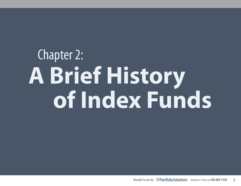## Chapter 2: **A Brief History of Index Funds**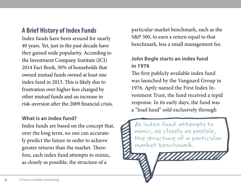## **A Brief History of Index Funds**

Index funds have been around for nearly 40 years. Yet, just in the past decade have they gained wide popularity. According to the Investment Company Institute (ICI) 2014 Fact Book, 30% of households that owned mutual funds owned at least one index fund in 2013. This is likely due to frustration over higher fees charged by other mutual funds and an increase in risk-aversion after the 2009 financial crisis.

#### **What is an index fund?**

Index funds are based on the concept that, over the long term, no one can accurately predict the future in order to achieve greater returns than the market. Therefore, each index fund attempts to mimic, as closely as possible, the structure of a

particular market benchmark, such as the S&P 500, to earn a return equal to that benchmark, less a small management fee.

### **John Bogle starts an index fund in 1976**

The first publicly available index fund was launched by the Vanguard Group in 1976. Aptly named the First Index Investment Trust, the fund received a tepid response. In its early days, the fund was a "load fund" sold exclusively through

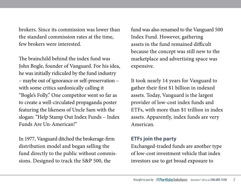brokers. Since its commission was lower than the standard commission rates at the time, few brokers were interested.

The brainchild behind the index fund was John Bogle, founder of Vanguard. For his idea, he was initially ridiculed by the fund industry – maybe out of ignorance or self-preservation – with some critics sardonically calling it "Bogle's Folly." One competitor went so far as to create a well-circulated propaganda poster featuring the likeness of Uncle Sam with the slogan: "Help Stamp Out Index Funds – Index Funds Are Un-American!"

In 1977, Vanguard ditched the brokerage-firm distribution model and began selling the fund directly to the public without commissions. Designed to track the S&P 500, the

fund was also renamed to the Vanguard 500 Index Fund. However, gathering assets in the fund remained difficult because the concept was still new to the marketplace and advertising space was expensive.

It took nearly 14 years for Vanguard to gather their first \$1 billion in indexed assets. Today, Vanguard is the largest provider of low-cost index funds and ETFs, with more than \$1 trillion in index assets. Apparently, index funds are very American.

#### **ETFs join the party**

Exchanged-traded funds are another type of low-cost investment vehicle that index investors use to get broad exposure to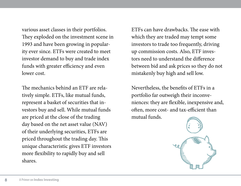various asset classes in their portfolios. They exploded on the investment scene in 1993 and have been growing in popularity ever since. ETFs were created to meet investor demand to buy and trade index funds with greater efficiency and even lower cost.

The mechanics behind an ETF are relatively simple. ETFs, like mutual funds, represent a basket of securities that investors buy and sell. While mutual funds are priced at the close of the trading day based on the net asset value (NAV) of their underlying securities, ETFs are priced throughout the trading day. This unique characteristic gives ETF investors more flexibility to rapidly buy and sell shares.

ETFs can have drawbacks. The ease with which they are traded may tempt some investors to trade too frequently, driving up commission costs. Also, ETF investors need to understand the difference between bid and ask prices so they do not mistakenly buy high and sell low.

Nevertheless, the benefits of ETFs in a portfolio far outweigh their inconveniences: they are flexible, inexpensive and, often, more cost- and tax-efficient than mutual funds.

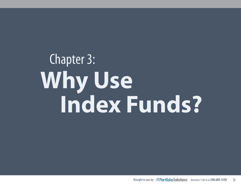## Chapter 3: **Why Use Index Funds?**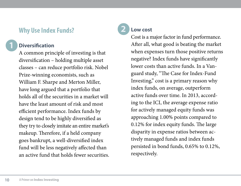## **Why Use Index Funds?**

## **1**

### **Diversification**

A common principle of investing is that diversification – holding multiple asset classes – can reduce portfolio risk. Nobel Prize-winning economists, such as William F. Sharpe and Merton Miller, have long argued that a portfolio that holds all of the securities in a market will have the least amount of risk and most efficient performance. Index funds by design tend to be highly diversified as they try to closely imitate an entire market's makeup. Therefore, if a held company goes bankrupt, a well-diversified index fund will be less negatively affected than an active fund that holds fewer securities.

## **2**

### **Low cost**

Cost is a major factor in fund performance. After all, what good is beating the market when expenses turn those positive returns negative? Index funds have significantly lower costs than active funds. In a Vanguard study, "The Case for Index-Fund Investing," cost is a primary reason why index funds, on average, outperform active funds over time. In 2013, according to the ICI, the average expense ratio for actively managed equity funds was approaching 1.00% points compared to 0.12% for index equity funds. The large disparity in expense ratios between actively managed funds and index funds persisted in bond funds, 0.65% to 0.12%, respectively.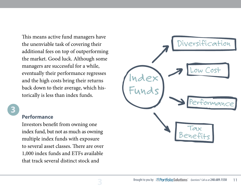This means active fund managers have the unenviable task of covering their additional fees on top of outperforming the market. Good luck. Although some managers are successful for a while, eventually their performance regresses and the high costs bring their returns back down to their average, which historically is less than index funds.



#### **Performance**

Investors benefit from owning one index fund, but not as much as owning multiple index funds with exposure to several asset classes. There are over 1,000 index funds and ETFs available that track several distinct stock and



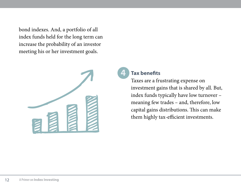bond indexes. And, a portfolio of all index funds held for the long term can increase the probability of an investor meeting his or her investment goals.



#### **Tax benefits**

**4**

Taxes are a frustrating expense on investment gains that is shared by all. But, index funds typically have low turnover – meaning few trades – and, therefore, low capital gains distributions. This can make them highly tax-efficient investments.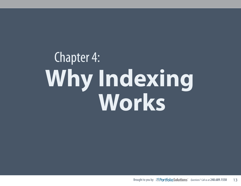## Chapter 4: **Why Indexing Works**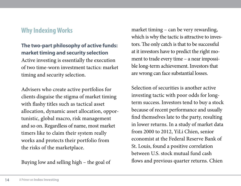## **Why Indexing Works**

### **The two-part philosophy of active funds: market timing and security selection** Active investing is essentially the execution of two time-worn investment tactics: market timing and security selection.

Advisers who create active portfolios for clients disguise the stigma of market timing with flashy titles such as tactical asset allocation, dynamic asset allocation, opportunistic, global macro, risk management and so on. Regardless of name, most market timers like to claim their system really works and protects their portfolio from the risks of the marketplace.

Buying low and selling high – the goal of

market timing – can be very rewarding, which is why the tactic is attractive to investors. The only catch is that to be successful at it investors have to predict the right moment to trade every time – a near impossible long-term achievement. Investors that are wrong can face substantial losses.

Selection of securities is another active investing tactic with poor odds for longterm success. Investors tend to buy a stock because of recent performance and usually find themselves late to the party, resulting in lower returns. In a study of market data from 2000 to 2012, YiLi Chien, senior economist at the Federal Reserve Bank of St. Louis, found a positive correlation between U.S. stock mutual fund cash flows and previous quarter returns. Chien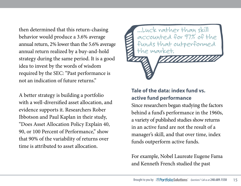then determined that this return-chasing behavior would produce a 3.6% average annual return, 2% lower than the 5.6% average annual return realized by a buy-and-hold strategy during the same period. It is a good idea to invest by the words of wisdom required by the SEC: "Past performance is not an indication of future returns."

A better strategy is building a portfolio with a well-diversified asset allocation, and evidence supports it. Researchers Rober Ibbotson and Paul Kaplan in their study, "Does Asset Allocation Policy Explain 40, 90, or 100 Percent of Performance," show that 90% of the variability of returns over time is attributed to asset allocation.



### **Tale of the data: index fund vs. active fund performance**

Since researchers began studying the factors behind a fund's performance in the 1960s, a variety of published studies show returns in an active fund are not the result of a manager's skill, and that over time, index funds outperform active funds.

For example, Nobel Laureate Eugene Fama and Kenneth French studied the past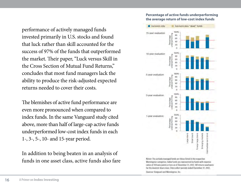performance of actively managed funds invested primarily in U.S. stocks and found that luck rather than skill accounted for the success of 97% of the funds that outperformed the market. Their paper, "Luck versus Skill in the Cross Section of Mutual Fund Returns," concludes that most fund managers lack the ability to produce the risk-adjusted expected returns needed to cover their costs.

The blemishes of active fund performance are even more pronounced when compared to index funds. In the same Vanguard study cited above, more than half of large-cap active funds underperformed low-cost index funds in each 1-, 3-, 5-, 10- and 15-year period.

In addition to being beaten in an analysis of funds in one asset class, active funds also fare

#### **Percentage of active funds underperforming the average return of low-cost index funds**



Notes: The actively managed funds are those listed in the respective Morningstar categories. Index funds are represented by funds with expense ratios of 20 basis points or less as of December 31, 2012. All returns used were for the investor share class. Data reflect periods ended December 31, 2012. Sources: Vanguard and Morningstar, Inc.

16 **A Primer on Index Investing**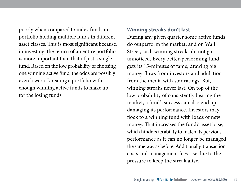poorly when compared to index funds in a portfolio holding multiple funds in different asset classes. This is most significant because, in investing, the return of an entire portfolio is more important than that of just a single fund. Based on the low probability of choosing one winning active fund, the odds are possibly even lower of creating a portfolio with enough winning active funds to make up for the losing funds.

#### **Winning streaks don't last**

During any given quarter some active funds do outperform the market, and on Wall Street, such winning streaks do not go unnoticed. Every better-performing fund gets its 15-minutes of fame, drawing big money-flows from investors and adulation from the media with star ratings. But, winning streaks never last. On top of the low probability of consistently beating the market, a fund's success can also end up damaging its performance. Investors may flock to a winning fund with loads of new money. That increases the fund's asset base, which hinders its ability to match its pervious performance as it can no longer be managed the same way as before. Additionally, transaction costs and management fees rise due to the pressure to keep the streak alive.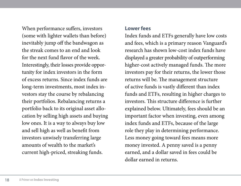When performance suffers, investors (some with lighter wallets than before) inevitably jump off the bandwagon as the streak comes to an end and look for the next fund flavor of the week. Interestingly, their losses provide opportunity for index investors in the form of excess returns. Since index funds are long-term investments, most index investors stay the course by rebalancing their portfolios. Rebalancing returns a portfolio back to its original asset allocation by selling high assets and buying low ones. It is a way to always buy low and sell high as well as benefit from investors unwisely transferring large amounts of wealth to the market's current high-priced, streaking funds.

#### **Lower fees**

Index funds and ETFs generally have low costs and fees, which is a primary reason Vanguard's research has shown low-cost index funds have displayed a greater probability of outperforming higher-cost actively managed funds. The more investors pay for their returns, the lower those returns will be. The management structure of active funds is vastly different than index funds and ETFs, resulting in higher charges to investors. This structure difference is further explained below. Ultimately, fees should be an important factor when investing, even among index funds and ETFs, because of the large role they play in determining performance. Less money going toward fees means more money invested. A penny saved is a penny earned, and a dollar saved in fees could be dollar earned in returns.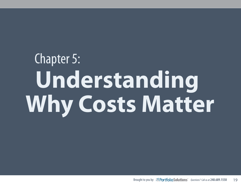# Chapter 5:  **Understanding Why Costs Matter**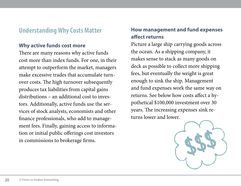## **Understanding Why Costs Matter**

#### **Why active funds cost more**

There are many reasons why active funds cost more than index funds. For one, in their attempt to outperform the market, managers make excessive trades that accumulate turnover costs. The high turnover subsequently produces tax liabilities from capital gains distributions – an additional cost to investors. Additionally, active funds use the services of stock analysts, economists and other finance professionals, who add to management fees. Finally, gaining access to information or initial public offerings cost investors in commissions to brokerage firms.

### **How management and fund expenses affect returns**

Picture a large ship carrying goods across the ocean. As a shipping company, it makes sense to stack as many goods on deck as possible to collect more shipping fees, but eventually the weight is great enough to sink the ship. Management and fund expenses work the same way on returns. See below how costs affect a hypothetical \$100,000 investment over 30 years. The increasing expenses sink returns lower and lower.

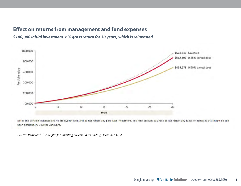#### **Effect on returns from management and fund expenses**

*\$100,000 initial investment: 6% gross return for 30 years, which is reinvested*



Note: The portfolio balances shown are hypothetical and do not reflect any particular investment. The final account balances do not reflect any taxes or penalties that might be due upon distribution. Source: Vanguard.

*Source: Vanguard, "Principles for Investing Success," data ending December 31, 2013*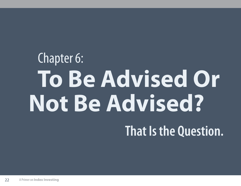## Chapter 6:  **To Be Advised Or Not Be Advised? That Is the Question.**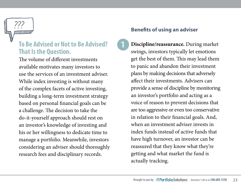

## **To Be Advised or Not to Be Advised? That Is the Question.**

The volume of different investments available motivates many investors to use the services of an investment adviser. While index investing is without many of the complex facets of active investing, building a long-term investment strategy based on personal financial goals can be a challenge. The decision to take the do-it-yourself approach should rest on an investor's knowledge of investing and his or her willingness to dedicate time to manage a portfolio. Meanwhile, investors considering an adviser should thoroughly research fees and disciplinary records.

### **Benefits of using an adviser**

**1**

**Discipline/reassurance.** During market swings, investors typically let emotions get the best of them. This may lead them to panic and abandon their investment plans by making decisions that adversely affect their investments. Advisers can provide a sense of discipline by monitoring an investor's portfolio and acting as a voice of reason to prevent decisions that are too aggressive or even too conservative in relation to their financial goals. And, when an investment adviser invests in index funds instead of active funds that have high turnover, an investor can be reassured that they know what they're getting and what market the fund is actually tracking.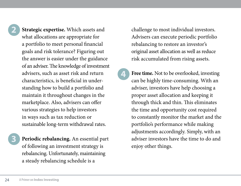**3**

**Strategic expertise.** Which assets and what allocations are appropriate for a portfolio to meet personal financial goals and risk tolerance? Figuring out the answer is easier under the guidance of an adviser. The knowledge of investment advisers, such as asset risk and return characteristics, is beneficial in understanding how to build a portfolio and maintain it throughout changes in the marketplace. Also, advisers can offer various strategies to help investors in ways such as tax reduction or sustainable long-term withdrawal rates.

**Periodic rebalancing.** An essential part of following an investment strategy is rebalancing. Unfortunately, maintaining a steady rebalancing schedule is a

challenge to most individual investors. Advisers can execute periodic portfolio rebalancing to restore an investor's original asset allocation as well as reduce risk accumulated from rising assets.

**4**

**Free time.** Not to be overlooked, investing can be highly time-consuming. With an adviser, investors have help choosing a proper asset allocation and keeping it through thick and thin. This eliminates the time and opportunity cost required to constantly monitor the market and the portfolio's performance while making adjustments accordingly. Simply, with an adviser investors have the time to do and enjoy other things.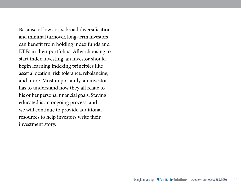Because of low costs, broad diversification and minimal turnover, long-term investors can benefit from holding index funds and ETFs in their portfolios. After choosing to start index investing, an investor should begin learning indexing principles like asset allocation, risk tolerance, rebalancing, and more. Most importantly, an investor has to understand how they all relate to his or her personal financial goals. Staying educated is an ongoing process, and we will continue to provide additional resources to help investors write their investment story.